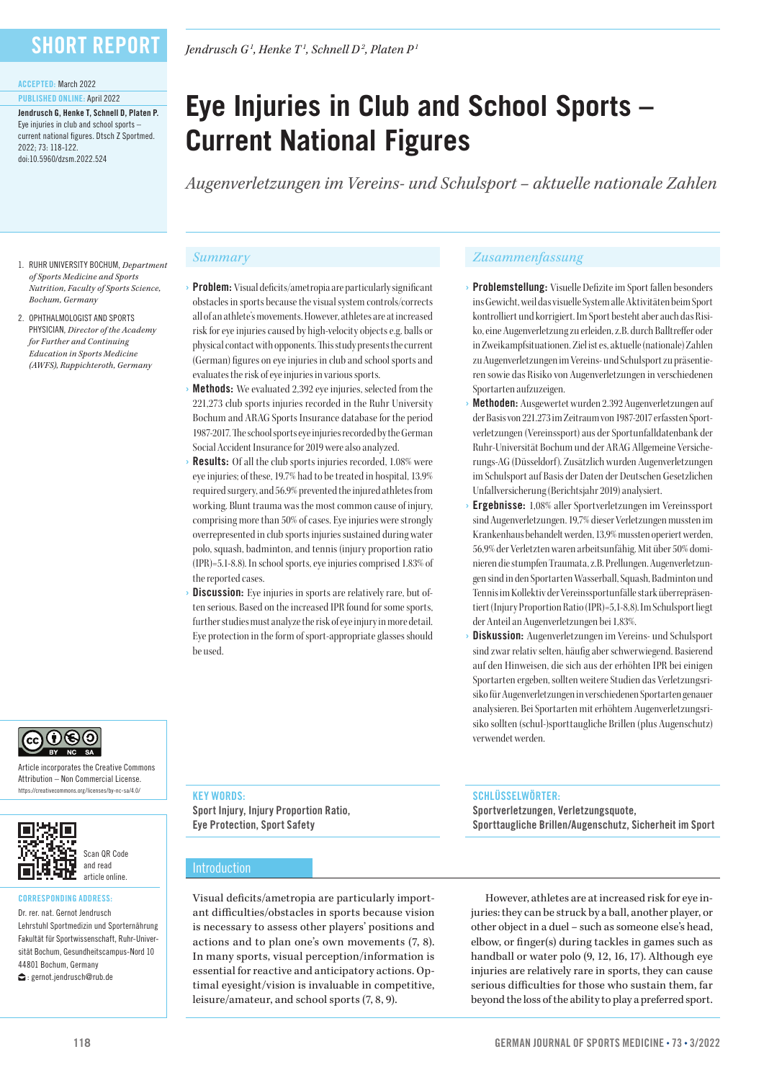### **SHORT REPORT**

#### ACCEPTED: March 2022

#### PUBLISHED ONLINE: April 2022

Jendrusch G, Henke T, Schnell D, Platen P. Eye injuries in club and school sports – current national figures. Dtsch Z Sportmed. 2022; 73: 118-122. doi:10.5960/dzsm.2022.524

1. RUHR UNIVERSITY BOCHUM, *Department of Sports Medicine and Sports* 

*Bochum, Germany* 2. OPHTHALMOLOGIST AND SPORTS PHYSICIAN, *Director of the Academy for Further and Continuing Education in Sports Medicine (AWFS), Ruppichteroth, Germany*

*Jendrusch G1 , Henke T1 , Schnell D2 , Platen P1*

# **Eye Injuries in Club and School Sports – Current National Figures**

*Augenverletzungen im Vereins- und Schulsport – aktuelle nationale Zahlen* 

- Problem: Visual deficits/ametropia are particularly significant obstacles in sports because the visual system controls/corrects all of an athlete's movements. However, athletes are at increased risk for eye injuries caused by high-velocity objects e.g. balls or physical contact with opponents. This study presents the current (German) figures on eye injuries in club and school sports and evaluates the risk of eye injuries in various sports. *Nutrition, Faculty of Sports Science,* 
	- **Methods:** We evaluated 2.392 eve injuries, selected from the 221,273 club sports injuries recorded in the Ruhr University Bochum and ARAG Sports Insurance database for the period 1987-2017. The school sports eye injuries recorded by the German Social Accident Insurance for 2019 were also analyzed.
	- **Results:** Of all the club sports injuries recorded, 1.08% were eye injuries; of these, 19.7% had to be treated in hospital, 13.9% required surgery, and 56.9% prevented the injured athletes from working. Blunt trauma was the most common cause of injury, comprising more than 50% of cases. Eye injuries were strongly overrepresented in club sports injuries sustained during water polo, squash, badminton, and tennis (injury proportion ratio (IPR)=5.1-8.8). In school sports, eye injuries comprised 1.83% of the reported cases.
	- **Discussion:** Eye injuries in sports are relatively rare, but often serious. Based on the increased IPR found for some sports, further studies must analyze the risk of eye injury in more detail. Eye protection in the form of sport-appropriate glasses should be used.

#### *Summary Zusammenfassung*

- Problemstellung: Visuelle Defizite im Sport fallen besonders ins Gewicht, weil das visuelle System alle Aktivitäten beim Sport kontrolliert und korrigiert. Im Sport besteht aber auch das Risiko, eine Augenverletzung zu erleiden, z.B. durch Balltreffer oder in Zweikampfsituationen. Ziel ist es, aktuelle (nationale) Zahlen zu Augenverletzungen im Vereins- und Schulsport zu präsentieren sowie das Risiko von Augenverletzungen in verschiedenen Sportarten aufzuzeigen.
- Methoden: Ausgewertet wurden 2.392 Augenverletzungen auf der Basis von 221.273 im Zeitraum von 1987-2017 erfassten Sportverletzungen (Vereinssport) aus der Sportunfalldatenbank der Ruhr-Universität Bochum und der ARAG Allgemeine Versicherungs-AG (Düsseldorf). Zusätzlich wurden Augenverletzungen im Schulsport auf Basis der Daten der Deutschen Gesetzlichen Unfallversicherung (Berichtsjahr 2019) analysiert.
- Ergebnisse: 1,08% aller Sportverletzungen im Vereinssport sind Augenverletzungen. 19,7% dieser Verletzungen mussten im Krankenhaus behandelt werden, 13,9% mussten operiert werden, 56,9% der Verletzten waren arbeitsunfähig. Mit über 50% dominieren die stumpfen Traumata, z.B. Prellungen. Augenverletzungen sind in den Sportarten Wasserball, Squash, Badminton und Tennis im Kollektiv der Vereinssportunfälle stark überrepräsentiert (Injury Proportion Ratio (IPR)=5,1-8,8). Im Schulsport liegt der Anteil an Augenverletzungen bei 1,83%.
- Diskussion: Augenverletzungen im Vereins- und Schulsport sind zwar relativ selten, häufig aber schwerwiegend. Basierend auf den Hinweisen, die sich aus der erhöhten IPR bei einigen Sportarten ergeben, sollten weitere Studien das Verletzungsrisiko für Augenverletzungen in verschiedenen Sportarten genauer analysieren. Bei Sportarten mit erhöhtem Augenverletzungsrisiko sollten (schul-)sporttaugliche Brillen (plus Augenschutz) verwendet werden.

# ெடு

Article incorporates the Creative Commons Attribution – Non Commercial License. https://creativecommons.org/licenses/by-nc-sa/4.0/



#### CORRESPONDING ADDRESS:

Dr. rer. nat. Gernot Jendrusch Lehrstuhl Sportmedizin und Sporternährung Fakultät für Sportwissenschaft, Ruhr-Universität Bochum, Gesundheitscampus-Nord 10 44801 Bochum, Germany  $\bigcirc$ : gernot.jendrusch@rub.de

KEY WORDS:

Sport Injury, Injury Proportion Ratio, Eye Protection, Sport Safety

#### Introduction

Visual deficits/ametropia are particularly important difficulties/obstacles in sports because vision is necessary to assess other players' positions and actions and to plan one's own movements (7, 8). In many sports, visual perception/information is essential for reactive and anticipatory actions. Optimal eyesight/vision is invaluable in competitive, leisure/amateur, and school sports (7, 8, 9).

#### SCHLÜSSELWÖRTER:

Sportverletzungen, Verletzungsquote, Sporttaugliche Brillen/Augenschutz, Sicherheit im Sport

However, athletes are at increased risk for eye injuries: they can be struck by a ball, another player, or other object in a duel – such as someone else's head, elbow, or finger(s) during tackles in games such as handball or water polo (9, 12, 16, 17). Although eye injuries are relatively rare in sports, they can cause serious difficulties for those who sustain them, far beyond the loss of the ability to play a preferred sport.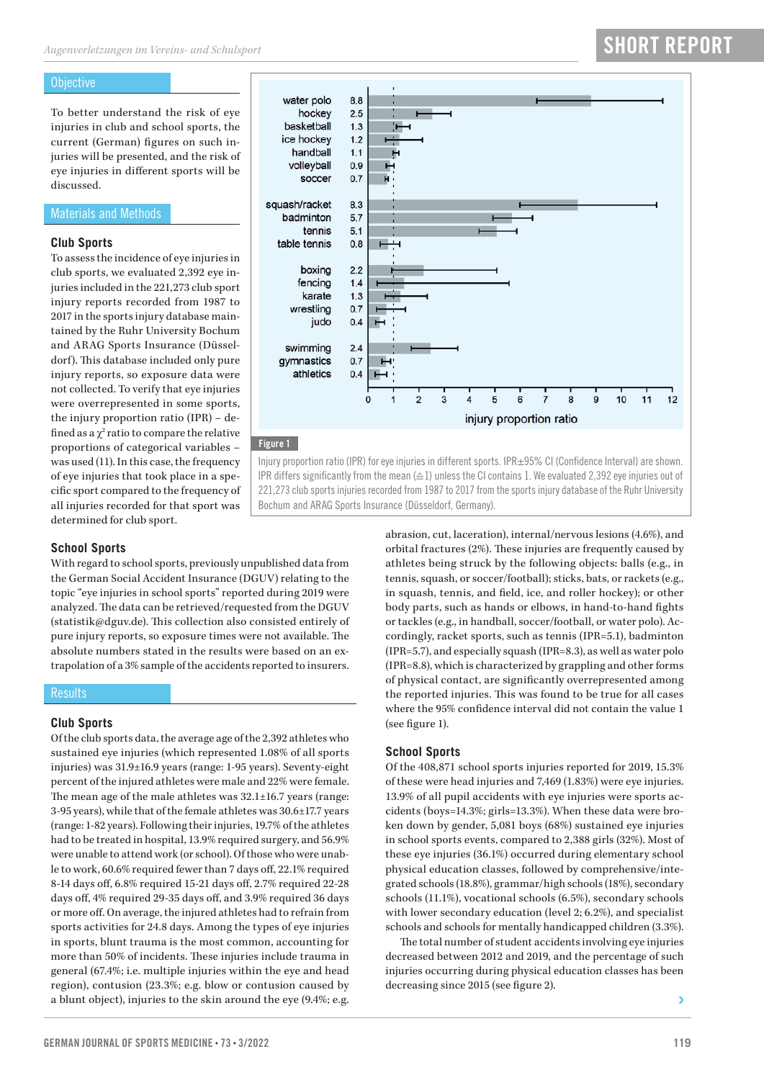#### **Objective**

To better understand the risk of eye injuries in club and school sports, the current (German) figures on such injuries will be presented, and the risk of eye injuries in different sports will be discussed.

#### Materials and Methods

#### **Club Sports**

To assess the incidence of eye injuries in club sports, we evaluated 2,392 eye injuries included in the 221,273 club sport injury reports recorded from 1987 to 2017 in the sports injury database maintained by the Ruhr University Bochum and ARAG Sports Insurance (Düsseldorf). This database included only pure injury reports, so exposure data were not collected. To verify that eye injuries were overrepresented in some sports, the injury proportion ratio (IPR) – defined as a  $\chi^2$  ratio to compare the relative proportions of categorical variables – was used (11). In this case, the frequency of eye injuries that took place in a specific sport compared to the frequency of all injuries recorded for that sport was determined for club sport.



### Figure 1

Injury proportion ratio (IPR) for eye injuries in different sports. IPR±95% CI (Confidence Interval) are shown. IPR differs significantly from the mean (≙1) unless the CI contains 1. We evaluated 2,392 eye injuries out of 221,273 club sports injuries recorded from 1987 to 2017 from the sports injury database of the Ruhr University Bochum and ARAG Sports Insurance (Düsseldorf, Germany).

#### **School Sports**

With regard to school sports, previously unpublished data from the German Social Accident Insurance (DGUV) relating to the topic "eye injuries in school sports" reported during 2019 were analyzed. The data can be retrieved/requested from the DGUV (statistik@dguv.de). This collection also consisted entirely of pure injury reports, so exposure times were not available. The absolute numbers stated in the results were based on an extrapolation of a 3% sample of the accidents reported to insurers.

#### **Results**

#### **Club Sports**

Of the club sports data, the average age of the 2,392 athletes who sustained eye injuries (which represented 1.08% of all sports injuries) was 31.9±16.9 years (range: 1-95 years). Seventy-eight percent of the injured athletes were male and 22% were female. The mean age of the male athletes was 32.1±16.7 years (range: 3-95 years), while that of the female athletes was 30.6±17.7 years (range: 1-82 years). Following their injuries, 19.7% of the athletes had to be treated in hospital, 13.9% required surgery, and 56.9% were unable to attend work (or school). Of those who were unable to work, 60.6% required fewer than 7 days off, 22.1% required 8-14 days off, 6.8% required 15-21 days off, 2.7% required 22-28 days off, 4% required 29-35 days off, and 3.9% required 36 days or more off. On average, the injured athletes had to refrain from sports activities for 24.8 days. Among the types of eye injuries in sports, blunt trauma is the most common, accounting for more than 50% of incidents. These injuries include trauma in general (67.4%; i.e. multiple injuries within the eye and head region), contusion (23.3%; e.g. blow or contusion caused by a blunt object), injuries to the skin around the eye (9.4%; e.g.

abrasion, cut, laceration), internal/nervous lesions (4.6%), and orbital fractures (2%). These injuries are frequently caused by athletes being struck by the following objects: balls (e.g., in tennis, squash, or soccer/football); sticks, bats, or rackets (e.g., in squash, tennis, and field, ice, and roller hockey); or other body parts, such as hands or elbows, in hand-to-hand fights or tackles (e.g., in handball, soccer/football, or water polo). Accordingly, racket sports, such as tennis (IPR=5.1), badminton (IPR=5.7), and especially squash (IPR=8.3), as well as water polo (IPR=8.8), which is characterized by grappling and other forms of physical contact, are significantly overrepresented among the reported injuries. This was found to be true for all cases where the 95% confidence interval did not contain the value 1 (see figure 1).

#### **School Sports**

Of the 408,871 school sports injuries reported for 2019, 15.3% of these were head injuries and 7,469 (1.83%) were eye injuries. 13.9% of all pupil accidents with eye injuries were sports accidents (boys=14.3%; girls=13.3%). When these data were broken down by gender, 5,081 boys (68%) sustained eye injuries in school sports events, compared to 2,388 girls (32%). Most of these eye injuries (36.1%) occurred during elementary school physical education classes, followed by comprehensive/integrated schools (18.8%), grammar/high schools (18%), secondary schools (11.1%), vocational schools (6.5%), secondary schools with lower secondary education (level 2; 6.2%), and specialist schools and schools for mentally handicapped children (3.3%).

The total number of student accidents involving eye injuries decreased between 2012 and 2019, and the percentage of such injuries occurring during physical education classes has been decreasing since 2015 (see figure 2).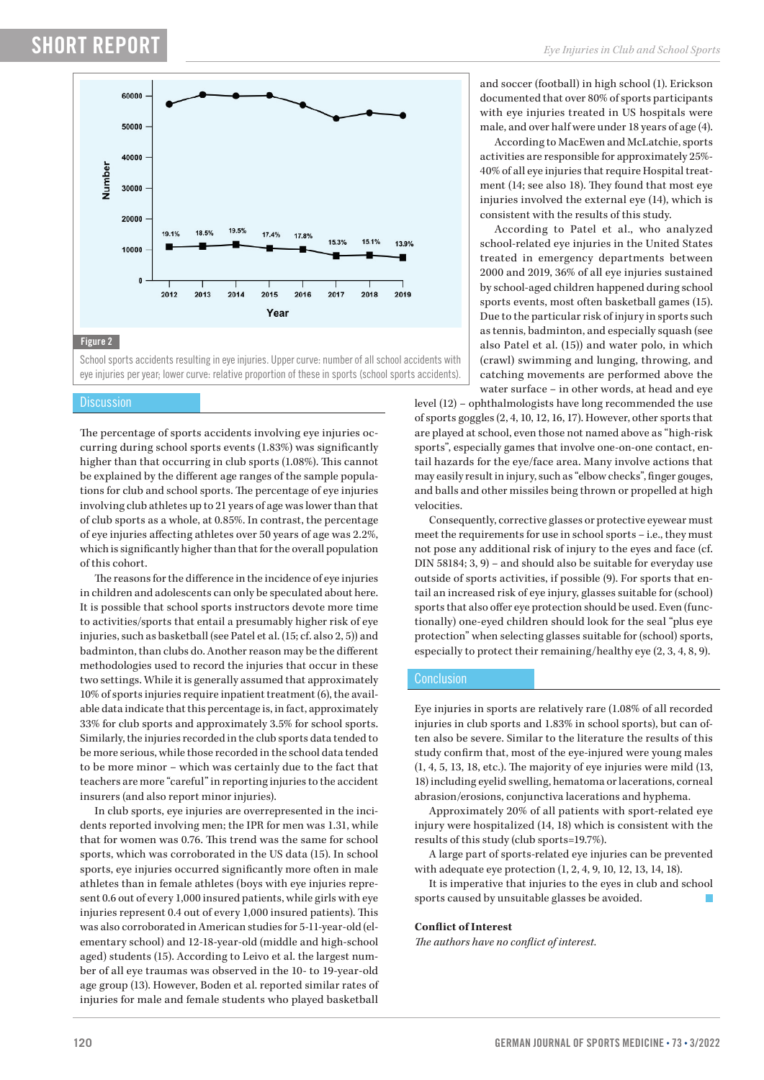## **SHORT REPORT**



School sports accidents resulting in eye injuries. Upper curve: number of all school accidents with eye injuries per year; lower curve: relative proportion of these in sports (school sports accidents).

#### **Discussion**

The percentage of sports accidents involving eye injuries occurring during school sports events (1.83%) was significantly higher than that occurring in club sports (1.08%). This cannot be explained by the different age ranges of the sample populations for club and school sports. The percentage of eye injuries involving club athletes up to 21 years of age was lower than that of club sports as a whole, at 0.85%. In contrast, the percentage of eye injuries affecting athletes over 50 years of age was 2.2%, which is significantly higher than that for the overall population of this cohort.

The reasons for the difference in the incidence of eye injuries in children and adolescents can only be speculated about here. It is possible that school sports instructors devote more time to activities/sports that entail a presumably higher risk of eye injuries, such as basketball (see Patel et al. (15; cf. also 2, 5)) and badminton, than clubs do. Another reason may be the different methodologies used to record the injuries that occur in these two settings. While it is generally assumed that approximately 10% of sports injuries require inpatient treatment (6), the available data indicate that this percentage is, in fact, approximately 33% for club sports and approximately 3.5% for school sports. Similarly, the injuries recorded in the club sports data tended to be more serious, while those recorded in the school data tended to be more minor – which was certainly due to the fact that teachers are more "careful" in reporting injuries to the accident insurers (and also report minor injuries).

In club sports, eye injuries are overrepresented in the incidents reported involving men; the IPR for men was 1.31, while that for women was 0.76. This trend was the same for school sports, which was corroborated in the US data (15). In school sports, eye injuries occurred significantly more often in male athletes than in female athletes (boys with eye injuries represent 0.6 out of every 1,000 insured patients, while girls with eye injuries represent 0.4 out of every 1,000 insured patients). This was also corroborated in American studies for 5-11-year-old (elementary school) and 12-18-year-old (middle and high-school aged) students (15). According to Leivo et al. the largest number of all eye traumas was observed in the 10- to 19-year-old age group (13). However, Boden et al. reported similar rates of injuries for male and female students who played basketball

and soccer (football) in high school (1). Erickson documented that over 80% of sports participants with eye injuries treated in US hospitals were male, and over half were under 18 years of age (4).

According to MacEwen and McLatchie, sports activities are responsible for approximately 25%-40% of all eye injuries that require Hospital treatment (14; see also 18). They found that most eye injuries involved the external eye (14), which is consistent with the results of this study.

According to Patel et al., who analyzed school-related eye injuries in the United States treated in emergency departments between 2000 and 2019, 36% of all eye injuries sustained by school-aged children happened during school sports events, most often basketball games (15). Due to the particular risk of injury in sports such as tennis, badminton, and especially squash (see also Patel et al. (15)) and water polo, in which (crawl) swimming and lunging, throwing, and catching movements are performed above the water surface – in other words, at head and eye

level (12) – ophthalmologists have long recommended the use of sports goggles (2, 4, 10, 12, 16, 17). However, other sports that are played at school, even those not named above as "high-risk sports", especially games that involve one-on-one contact, entail hazards for the eye/face area. Many involve actions that may easily result in injury, such as "elbow checks", finger gouges, and balls and other missiles being thrown or propelled at high velocities.

Consequently, corrective glasses or protective eyewear must meet the requirements for use in school sports – i.e., they must not pose any additional risk of injury to the eyes and face (cf. DIN 58184; 3, 9) – and should also be suitable for everyday use outside of sports activities, if possible (9). For sports that entail an increased risk of eye injury, glasses suitable for (school) sports that also offer eye protection should be used. Even (functionally) one-eyed children should look for the seal "plus eye protection" when selecting glasses suitable for (school) sports, especially to protect their remaining/healthy eye (2, 3, 4, 8, 9).

#### **Conclusion**

Eye injuries in sports are relatively rare (1.08% of all recorded injuries in club sports and 1.83% in school sports), but can often also be severe. Similar to the literature the results of this study confirm that, most of the eye-injured were young males  $(1, 4, 5, 13, 18, etc.).$  The majority of eye injuries were mild  $(13, 12, 13, 18, 18)$ 18) including eyelid swelling, hematoma or lacerations, corneal abrasion/erosions, conjunctiva lacerations and hyphema.

Approximately 20% of all patients with sport-related eye injury were hospitalized (14, 18) which is consistent with the results of this study (club sports=19.7%).

A large part of sports-related eye injuries can be prevented with adequate eye protection (1, 2, 4, 9, 10, 12, 13, 14, 18).

It is imperative that injuries to the eyes in club and school sports caused by unsuitable glasses be avoided.

#### **Conflict of Interest**

*The authors have no conflict of interest.*